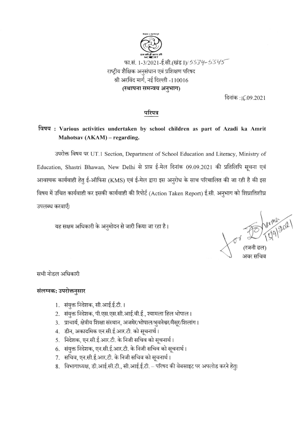

दिनांक :।€09.2021

### परिपत्र

# विषय: Various activities undertaken by school children as part of Azadi ka Amrit Mahotsav (AKAM) - regarding.

उपरोक्त विषय पर UT.1 Section, Department of School Education and Literacy, Ministry of Education, Shastri Bhawan, New Delhi से प्राप्त ई-मेल दिनांक 09.09.2021 की प्रतिलिपि सूचना एवं आवश्यक कार्यवाही हेतु ई-ऑफिस (KMS) एवं ई-मेल द्वारा इस अनुरोध के साथ परिचालित की जा रही है की इस विषय में उचित कार्यवाही कर इसकी कार्यवाही की रिपोर्ट (Action Taken Report) ई.सी. अनुभाग को शिघ्रातिशीघ्र उपलब्ध करवाएँ।

यह सक्षम अधिकारी के अनुमोदन से जारी किया जा रहा है।

 $\sqrt{\frac{1}{156}}$ 

सभी नोडल अधिकारी

## संलग्नक: उपरोक्तनुसार

- 1. संयुक्त निदेशक, सी.आई.ई.टी.।
- 2. संयुक्त निदेशक, पी.एस.एस.सी.आई.वी.ई., श्यामला हिल भोपाल।
- 3. प्राचार्य, क्षेत्रीय शिक्षा संस्थान, अजमेर/भोपाल/भुवनेश्वर/मैसूर/शिलांग।
- 4. डीन, अकादमिक एन.सी.ई.आर.टी. को सूचनार्थ।
- 5. निदेशक, एन.सी.ई.आर.टी. के निजी सचिव को सूचनार्थ।
- 6. संयुक्त निदेशक, एन.सी.ई.आर.टी. के निजी सचिव को सूचनार्थ।
- 7. सचिव, एन.सी.ई.आर.टी. के निजी सचिव को सूचनार्थ।
- 8. विभागाध्यक्ष, डी.आई.सी.टी., सी.आई.ई.टी. परिषद की वेबसाइट पर अपलोड करने हेतु।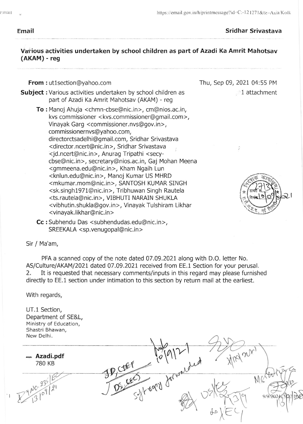#### Email Sridhar Srivastava

1 attachment

Thu, Sep 09,2021 04:55 PM

 $\frac{1}{2}$ 

## \ftrrious activities undertaken by school children as part of Azadi Ka Amrit Mahotsav (AKAM) - reg

#### From : utlsection@yahoo.com

Subject : Various activities undertaken by school children as part of Azadi Ka Amrit Mahotsav (AKAM) - reg

**Cc :** Subhendu Das <subhendudas.edu@nic.in>,

SREEKALA <sp.venugopal@nic.in >

**To :** Manoj Ahuja <chmn-cbse@nic.in>, cm@nios.ac.in, kvs commissioner < kvs.commissioner@gmail.com >, Vinayak Garg <commissioner. nvs@gov. in >, commissionernvs@yahoo.com, directorctsadelhi@gmail.com, Sridhar Srivastava <director.ncert@nic.in>, Sridhar Srivastava <jd, ncert@nic.in>, Anurag Tripathi <secycbse@nic.in>, secretary@nios.ac.in, Gaj Mohan Meena <gmmeena.edu@nic.in>, Kham Ngaih Lun <knlun.edu@nic.in>, Manoj Kumar US MHRD <mkumar.mom@nic.in>, SANTOSH KUMAR SINGH <sk.singh1971@nic.in>, Tribhuwan Singh Rautela <ts.rautela@nic.in>, VIBHUTI NARAIN SHUKLA <vibhutin.shukla@gov. in>, Vinayak Tulshiram Likhar <vinayak.likhar@nic.in >

 $-15$ \* a\

Sir / Ma'am,

PFA a scanned copy of the note dated 07.09.2021 along with D.O. letter No. AS/Culture/AKAM/2021 dated 07.09.2021 received from EE.1 Section for your perusal. 2. It is requested that necessary comments/inputs in this regard may please furnished directly to EE.1 section under intimation to this section by return mail at the earliest.

With regards,

UT.l Section, Department of SE&L, Ministry of Education, Shastri Bhawan,

New Delhi. - Azadi.pdf 7BO KB ?3'  $\frac{1}{\sqrt{2}}$ t <sup>1</sup> o? I  $31^{\circ}$  $\nabla^{\mathfrak{A}}$  o  $21$   $\sqrt{2}$   $\sqrt{6}$  $\sqrt[6]{11}$  $\Rightarrow$   $\sqrt{5}$  $M\overline{C}$ 919  $25$  $S_{1}^{N}$ ,  $31^{011}$  ,  $S_{2}^{N}$  ,  $S_{3}^{N}$  ,  $S_{4}^{N}$  ,  $S_{5}^{N}$  ,  $S_{6}^{N}$  ,  $S_{7}^{N}$  ,  $S_{7}^{N}$  ,  $S_{7}^{N}$  ,  $S_{7}^{N}$  ,  $S_{7}^{N}$  ,  $S_{7}^{N}$  ,  $S_{7}^{N}$  ,  $S_{7}^{N}$  ,  $S_{7}^{N}$  ,  $S_{7}^{N}$  ,  $S_{7}^{N}$  ,  $S_{7}^{$